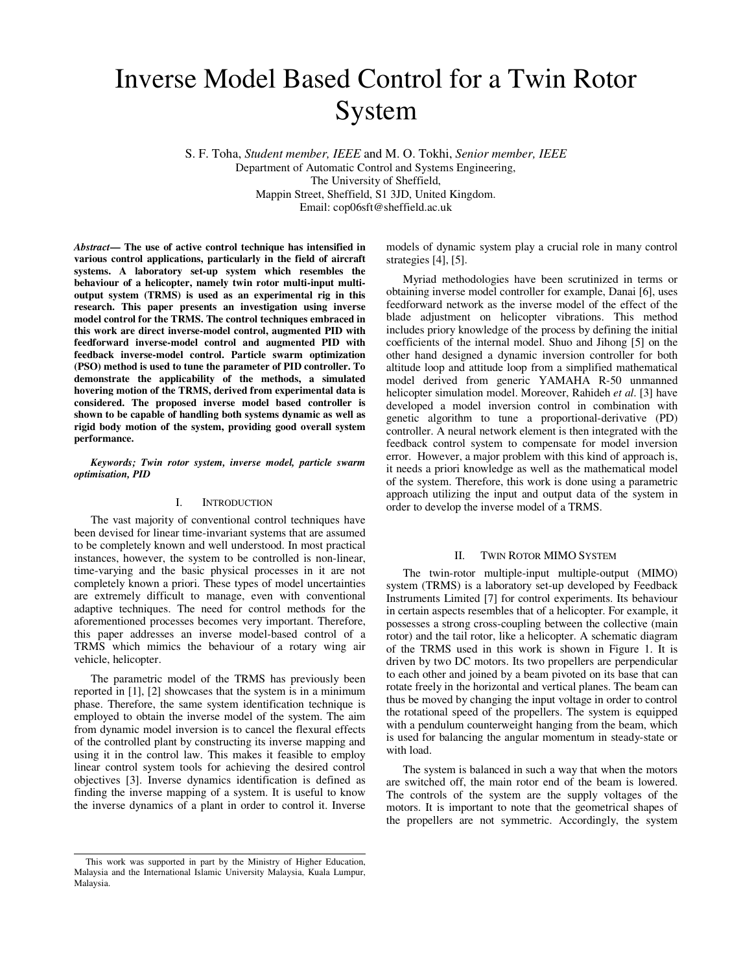# Inverse Model Based Control for a Twin Rotor System

S. F. Toha, *Student member, IEEE* and M. O. Tokhi, *Senior member, IEEE* Department of Automatic Control and Systems Engineering, The University of Sheffield, Mappin Street, Sheffield, S1 3JD, United Kingdom. Email: cop06sft@sheffield.ac.uk

*Abstract***— The use of active control technique has intensified in various control applications, particularly in the field of aircraft systems. A laboratory set-up system which resembles the behaviour of a helicopter, namely twin rotor multi-input multioutput system (TRMS) is used as an experimental rig in this research. This paper presents an investigation using inverse model control for the TRMS. The control techniques embraced in this work are direct inverse-model control, augmented PID with feedforward inverse-model control and augmented PID with feedback inverse-model control. Particle swarm optimization (PSO) method is used to tune the parameter of PID controller. To demonstrate the applicability of the methods, a simulated hovering motion of the TRMS, derived from experimental data is considered. The proposed inverse model based controller is shown to be capable of handling both systems dynamic as well as rigid body motion of the system, providing good overall system performance.** 

## *Keywords; Twin rotor system, inverse model, particle swarm optimisation, PID*

## I. INTRODUCTION

The vast majority of conventional control techniques have been devised for linear time-invariant systems that are assumed to be completely known and well understood. In most practical instances, however, the system to be controlled is non-linear, time-varying and the basic physical processes in it are not completely known a priori. These types of model uncertainties are extremely difficult to manage, even with conventional adaptive techniques. The need for control methods for the aforementioned processes becomes very important. Therefore, this paper addresses an inverse model-based control of a TRMS which mimics the behaviour of a rotary wing air vehicle, helicopter.

The parametric model of the TRMS has previously been reported in [1], [2] showcases that the system is in a minimum phase. Therefore, the same system identification technique is employed to obtain the inverse model of the system. The aim from dynamic model inversion is to cancel the flexural effects of the controlled plant by constructing its inverse mapping and using it in the control law. This makes it feasible to employ linear control system tools for achieving the desired control objectives [3]. Inverse dynamics identification is defined as finding the inverse mapping of a system. It is useful to know the inverse dynamics of a plant in order to control it. Inverse

models of dynamic system play a crucial role in many control strategies [4], [5].

Myriad methodologies have been scrutinized in terms or obtaining inverse model controller for example, Danai [6], uses feedforward network as the inverse model of the effect of the blade adjustment on helicopter vibrations. This method includes priory knowledge of the process by defining the initial coefficients of the internal model. Shuo and Jihong [5] on the other hand designed a dynamic inversion controller for both altitude loop and attitude loop from a simplified mathematical model derived from generic YAMAHA R-50 unmanned helicopter simulation model. Moreover, Rahideh *et al*. [3] have developed a model inversion control in combination with genetic algorithm to tune a proportional-derivative (PD) controller. A neural network element is then integrated with the feedback control system to compensate for model inversion error. However, a major problem with this kind of approach is, it needs a priori knowledge as well as the mathematical model of the system. Therefore, this work is done using a parametric approach utilizing the input and output data of the system in order to develop the inverse model of a TRMS.

# II. TWIN ROTOR MIMO SYSTEM

The twin-rotor multiple-input multiple-output (MIMO) system (TRMS) is a laboratory set-up developed by Feedback Instruments Limited [7] for control experiments. Its behaviour in certain aspects resembles that of a helicopter. For example, it possesses a strong cross-coupling between the collective (main rotor) and the tail rotor, like a helicopter. A schematic diagram of the TRMS used in this work is shown in Figure 1. It is driven by two DC motors. Its two propellers are perpendicular to each other and joined by a beam pivoted on its base that can rotate freely in the horizontal and vertical planes. The beam can thus be moved by changing the input voltage in order to control the rotational speed of the propellers. The system is equipped with a pendulum counterweight hanging from the beam, which is used for balancing the angular momentum in steady-state or with load.

The system is balanced in such a way that when the motors are switched off, the main rotor end of the beam is lowered. The controls of the system are the supply voltages of the motors. It is important to note that the geometrical shapes of the propellers are not symmetric. Accordingly, the system

This work was supported in part by the Ministry of Higher Education, Malaysia and the International Islamic University Malaysia, Kuala Lumpur, Malaysia.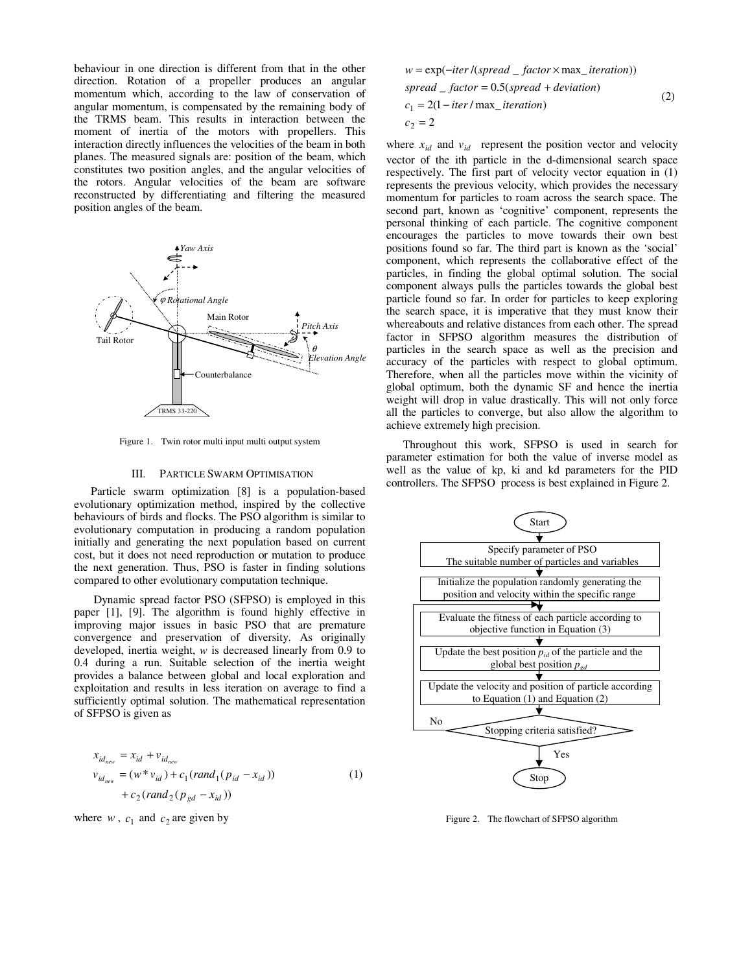behaviour in one direction is different from that in the other direction. Rotation of a propeller produces an angular momentum which, according to the law of conservation of angular momentum, is compensated by the remaining body of the TRMS beam. This results in interaction between the moment of inertia of the motors with propellers. This interaction directly influences the velocities of the beam in both planes. The measured signals are: position of the beam, which constitutes two position angles, and the angular velocities of the rotors. Angular velocities of the beam are software reconstructed by differentiating and filtering the measured position angles of the beam.



Figure 1. Twin rotor multi input multi output system

## III. PARTICLE SWARM OPTIMISATION

Particle swarm optimization [8] is a population-based evolutionary optimization method, inspired by the collective behaviours of birds and flocks. The PSO algorithm is similar to evolutionary computation in producing a random population initially and generating the next population based on current cost, but it does not need reproduction or mutation to produce the next generation. Thus, PSO is faster in finding solutions compared to other evolutionary computation technique.

 Dynamic spread factor PSO (SFPSO) is employed in this paper [1], [9]. The algorithm is found highly effective in improving major issues in basic PSO that are premature convergence and preservation of diversity. As originally developed, inertia weight, *w* is decreased linearly from 0.9 to 0.4 during a run. Suitable selection of the inertia weight provides a balance between global and local exploration and exploitation and results in less iteration on average to find a sufficiently optimal solution. The mathematical representation of SFPSO is given as

$$
x_{id_{new}} = x_{id} + v_{id_{new}}
$$
  
\n
$$
v_{id_{new}} = (w * v_{id}) + c_1 (rand_1(p_{id} - x_{id}))
$$
  
\n
$$
+ c_2 (rand_2(p_{gd} - x_{id}))
$$
\n(1)

where  $w$ ,  $c_1$  and  $c_2$  are given by

$$
w = \exp(-\text{iter } l(\text{spread} - \text{factor} \times \text{max}\_\text{iteration}))
$$
\n
$$
spread_{\text{factor}} = 0.5(\text{spread} + \text{deviation})
$$
\n
$$
c_1 = 2(1 - \text{iter } l \text{ max}\_\text{iteration})
$$
\n
$$
c_2 = 2
$$
\n(2)

where  $x_{id}$  and  $v_{id}$  represent the position vector and velocity vector of the ith particle in the d-dimensional search space respectively. The first part of velocity vector equation in (1) represents the previous velocity, which provides the necessary momentum for particles to roam across the search space. The second part, known as 'cognitive' component, represents the personal thinking of each particle. The cognitive component encourages the particles to move towards their own best positions found so far. The third part is known as the 'social' component, which represents the collaborative effect of the particles, in finding the global optimal solution. The social component always pulls the particles towards the global best particle found so far. In order for particles to keep exploring the search space, it is imperative that they must know their whereabouts and relative distances from each other. The spread factor in SFPSO algorithm measures the distribution of particles in the search space as well as the precision and accuracy of the particles with respect to global optimum. Therefore, when all the particles move within the vicinity of global optimum, both the dynamic SF and hence the inertia weight will drop in value drastically. This will not only force all the particles to converge, but also allow the algorithm to achieve extremely high precision.

Throughout this work, SFPSO is used in search for parameter estimation for both the value of inverse model as well as the value of kp, ki and kd parameters for the PID controllers. The SFPSO process is best explained in Figure 2.



Figure 2. The flowchart of SFPSO algorithm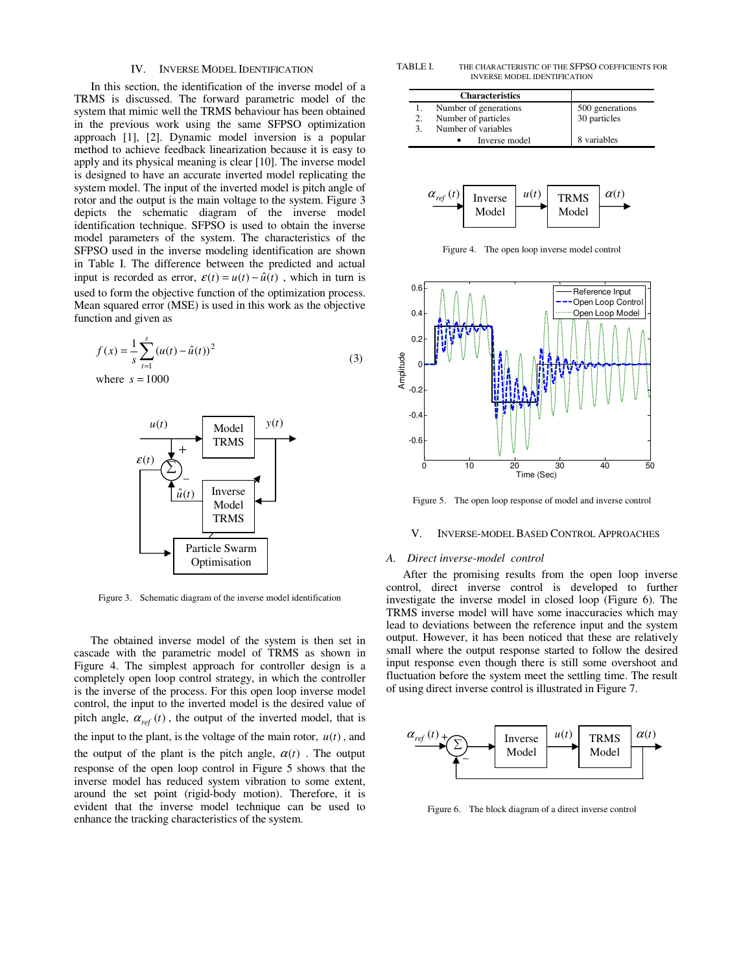## IV. INVERSE MODEL IDENTIFICATION

In this section, the identification of the inverse model of a TRMS is discussed. The forward parametric model of the system that mimic well the TRMS behaviour has been obtained in the previous work using the same SFPSO optimization approach [1], [2]. Dynamic model inversion is a popular method to achieve feedback linearization because it is easy to apply and its physical meaning is clear [10]. The inverse model is designed to have an accurate inverted model replicating the system model. The input of the inverted model is pitch angle of rotor and the output is the main voltage to the system. Figure 3 depicts the schematic diagram of the inverse model identification technique. SFPSO is used to obtain the inverse model parameters of the system. The characteristics of the SFPSO used in the inverse modeling identification are shown in Table I. The difference between the predicted and actual input is recorded as error,  $\varepsilon(t) = u(t) - \hat{u}(t)$ , which in turn is used to form the objective function of the optimization process. Mean squared error (MSE) is used in this work as the objective function and given as

$$
f(x) = \frac{1}{s} \sum_{t=1}^{s} (u(t) - \hat{u}(t))^2
$$
  
where  $s = 1000$  (3)



Figure 3. Schematic diagram of the inverse model identification

The obtained inverse model of the system is then set in cascade with the parametric model of TRMS as shown in Figure 4. The simplest approach for controller design is a completely open loop control strategy, in which the controller is the inverse of the process. For this open loop inverse model control, the input to the inverted model is the desired value of pitch angle,  $\alpha_{ref}(t)$ , the output of the inverted model, that is the input to the plant, is the voltage of the main rotor,  $u(t)$ , and the output of the plant is the pitch angle,  $\alpha(t)$ . The output response of the open loop control in Figure 5 shows that the inverse model has reduced system vibration to some extent, around the set point (rigid-body motion). Therefore, it is evident that the inverse model technique can be used to enhance the tracking characteristics of the system.

TABLE I. THE CHARACTERISTIC OF THE SFPSO COEFFICIENTS FOR INVERSE MODEL IDENTIFICATION

|    | <b>Characteristics</b> |                                 |
|----|------------------------|---------------------------------|
|    | Number of generations  |                                 |
| 2. | Number of particles    | 500 generations<br>30 particles |
| 3  | Number of variables    |                                 |
|    | Inverse model          | 8 variables                     |



Figure 4. The open loop inverse model control



Figure 5. The open loop response of model and inverse control

# V. INVERSE-MODEL BASED CONTROL APPROACHES

#### *A. Direct inverse-model control*

After the promising results from the open loop inverse control, direct inverse control is developed to further investigate the inverse model in closed loop (Figure 6). The TRMS inverse model will have some inaccuracies which may lead to deviations between the reference input and the system output. However, it has been noticed that these are relatively small where the output response started to follow the desired input response even though there is still some overshoot and fluctuation before the system meet the settling time. The result of using direct inverse control is illustrated in Figure 7.



Figure 6. The block diagram of a direct inverse control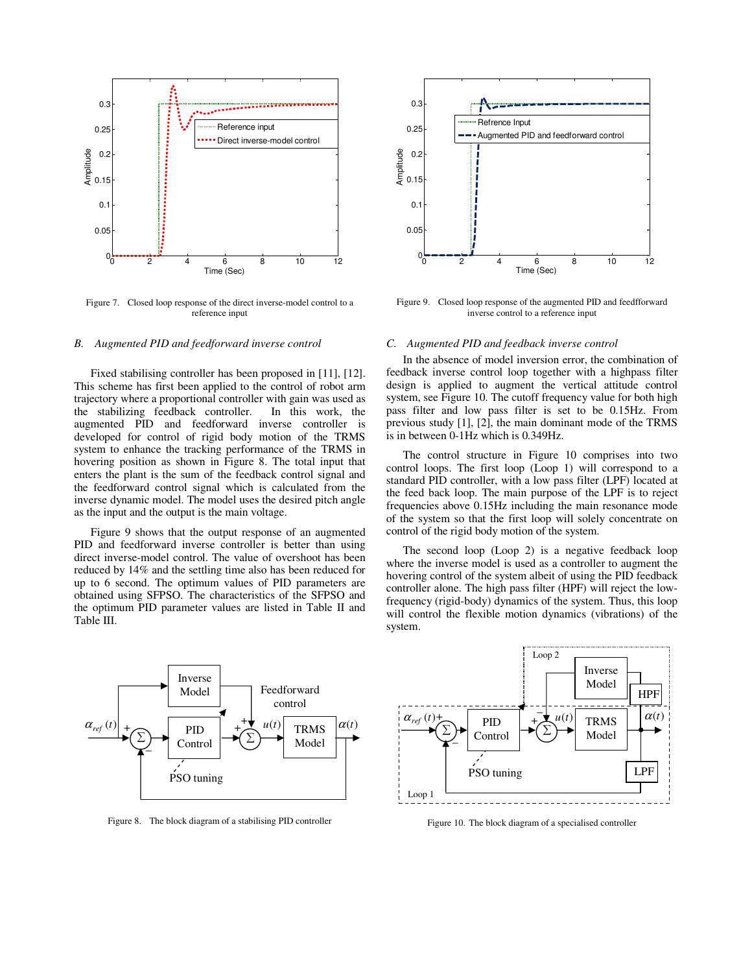

Figure 7. Closed loop response of the direct inverse-model control to a reference input

# *B. Augmented PID and feedforward inverse control*

Fixed stabilising controller has been proposed in [11], [12]. This scheme has first been applied to the control of robot arm trajectory where a proportional controller with gain was used as the stabilizing feedback controller. In this work, the augmented PID and feedforward inverse controller is developed for control of rigid body motion of the TRMS system to enhance the tracking performance of the TRMS in hovering position as shown in Figure 8. The total input that enters the plant is the sum of the feedback control signal and the feedforward control signal which is calculated from the inverse dynamic model. The model uses the desired pitch angle as the input and the output is the main voltage.

Figure 9 shows that the output response of an augmented PID and feedforward inverse controller is better than using direct inverse-model control. The value of overshoot has been reduced by 14% and the settling time also has been reduced for up to 6 second. The optimum values of PID parameters are obtained using SFPSO. The characteristics of the SFPSO and the optimum PID parameter values are listed in Table II and Table III.



Figure 8. The block diagram of a stabilising PID controller



Figure 9. Closed loop response of the augmented PID and feedfforward inverse control to a reference input

## *C. Augmented PID and feedback inverse control*

In the absence of model inversion error, the combination of feedback inverse control loop together with a highpass filter design is applied to augment the vertical attitude control system, see Figure 10. The cutoff frequency value for both high pass filter and low pass filter is set to be 0.15Hz. From previous study [1], [2], the main dominant mode of the TRMS is in between 0-1Hz which is 0.349Hz.

The control structure in Figure 10 comprises into two control loops. The first loop (Loop 1) will correspond to a standard PID controller, with a low pass filter (LPF) located at the feed back loop. The main purpose of the LPF is to reject frequencies above 0.15Hz including the main resonance mode of the system so that the first loop will solely concentrate on control of the rigid body motion of the system.

The second loop (Loop 2) is a negative feedback loop where the inverse model is used as a controller to augment the hovering control of the system albeit of using the PID feedback controller alone. The high pass filter (HPF) will reject the lowfrequency (rigid-body) dynamics of the system. Thus, this loop will control the flexible motion dynamics (vibrations) of the system.



Figure 10. The block diagram of a specialised controller